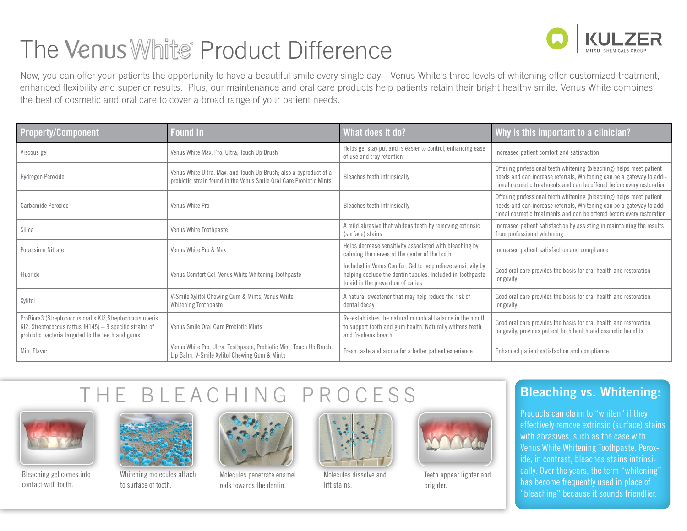# The Venus White Product Difference



Now, you can offer your patients the opportunity to have a beautiful smile every single day—Venus White's three levels of whitening offer customized treatment, enhanced flexibility and superior results. Plus, our maintenance and oral care products help patients retain their bright healthy smile. Venus White combines the best of cosmetic and oral care to cover a broad range of your patient needs.

| <b>Property/Component</b>                                                                                                                                                    | <b>Found In</b>                                                                                                                          | What does it do?                                                                                                                                                 | Why is this important to a clinician?                                                                                                                                                                                   |
|------------------------------------------------------------------------------------------------------------------------------------------------------------------------------|------------------------------------------------------------------------------------------------------------------------------------------|------------------------------------------------------------------------------------------------------------------------------------------------------------------|-------------------------------------------------------------------------------------------------------------------------------------------------------------------------------------------------------------------------|
| Viscous gel                                                                                                                                                                  | Venus White Max, Pro, Ultra, Touch Up Brush                                                                                              | Helps gel stay put and is easier to control, enhancing ease<br>of use and tray retention                                                                         | Increased patient comfort and satisfaction                                                                                                                                                                              |
| Hydrogen Peroxide                                                                                                                                                            | Venus White Ultra, Max, and Touch Up Brush; also a byproduct of a<br>probiotic strain found in the Venus Smile Oral Care Probiotic Mints | Bleaches teeth intrinsically                                                                                                                                     | Offering professional teeth whitening (bleaching) helps meet patient<br>needs and can increase referrals, Whitening can be a gateway to addi-<br>tional cosmetic treatments and can be offered before every restoration |
| Carbamide Peroxide                                                                                                                                                           | Venus White Pro                                                                                                                          | Bleaches teeth intrinsically                                                                                                                                     | Offering professional teeth whitening (bleaching) helps meet patient<br>needs and can increase referrals, Whitening can be a gateway to addi-<br>tional cosmetic treatments and can be offered before every restoration |
| Silica                                                                                                                                                                       | Venus White Toothpaste                                                                                                                   | A mild abrasive that whitens teeth by removing extrinsic<br>(surface) stains                                                                                     | Increased patient satisfaction by assisting in maintaining the results<br>from professional whitening                                                                                                                   |
| Potassium Nitrate                                                                                                                                                            | Venus White Pro & Max                                                                                                                    | Helps decrease sensitivity associated with bleaching by<br>calming the nerves at the center of the tooth                                                         | Increased patient satisfaction and compliance                                                                                                                                                                           |
| Fluoride                                                                                                                                                                     | Venus Comfort Gel, Venus White Whitening Toothpaste                                                                                      | Included in Venus Comfort Gel to help relieve sensitivity by<br>helping occlude the dentin tubules, Included in Toothpaste<br>to aid in the prevention of caries | Good oral care provides the basis for oral health and restoration<br>longevity                                                                                                                                          |
| Xylitol                                                                                                                                                                      | V-Smile Xylitol Chewing Gum & Mints, Venus White<br>Whitening Toothpaste                                                                 | A natural sweetener that may help reduce the risk of<br>dental decay                                                                                             | Good oral care provides the basis for oral health and restoration<br>longevity                                                                                                                                          |
| ProBiora3 (Streptococcus oralis KJ3, Streptococcus uberis<br>KJ2, Streptococcus rattus JH145) $-$ 3 specific strains of<br>probiotic bacteria targeted to the teeth and gums | Venus Smile Oral Care Probiotic Mints                                                                                                    | Re-establishes the natural microbial balance in the mouth<br>to support tooth and gum health, Naturally whitens teeth<br>and freshens breath                     | Good oral care provides the basis for oral health and restoration<br>longevity, provides patient both health and cosmetic benefits                                                                                      |
| Mint Flavor                                                                                                                                                                  | Venus White Pro, Ultra, Toothpaste, Probiotic Mint, Touch Up Brush,<br>Lip Balm, V-Smile Xylitol Chewing Gum & Mints                     | Fresh taste and aroma for a better patient experience                                                                                                            | Enhanced patient satisfaction and compliance                                                                                                                                                                            |

# THE BLEACHING PROCESS Bleaching vs. Whitening:



Bleaching gel comes into contact with tooth.



Whitening molecules attach to surface of tooth.



Molecules penetrate enamel rods towards the dentin.



Molecules dissolve and lift stains.



Teeth appear lighter and brighter.

Products can claim to "whiten" if they effectively remove extrinsic (surface) stains with abrasives, such as the case with Venus White Whitening Toothpaste. Peroxide, in contrast, bleaches stains intrinsically. Over the years, the term "whitening" has become frequently used in place of "bleaching" because it sounds friendlier.